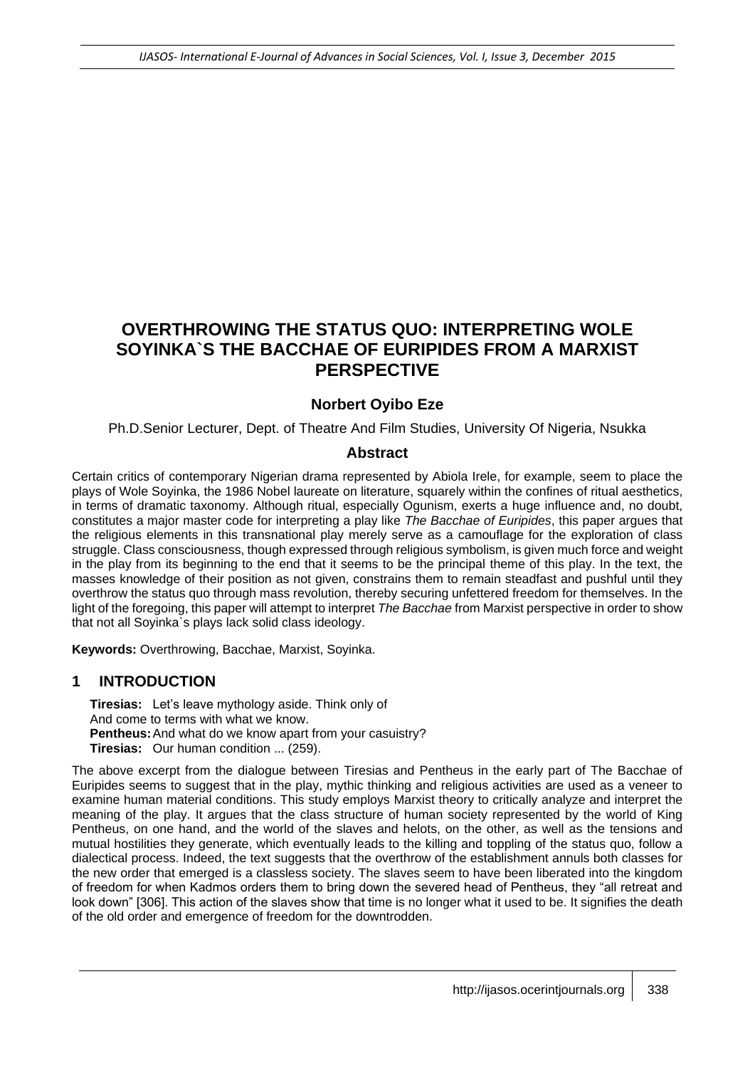# **OVERTHROWING THE STATUS QUO: INTERPRETING WOLE SOYINKA`S THE BACCHAE OF EURIPIDES FROM A MARXIST PERSPECTIVE**

## **Norbert Oyibo Eze**

Ph.D.Senior Lecturer, Dept. of Theatre And Film Studies, University Of Nigeria, Nsukka

#### **Abstract**

Certain critics of contemporary Nigerian drama represented by Abiola Irele, for example, seem to place the plays of Wole Soyinka, the 1986 Nobel laureate on literature, squarely within the confines of ritual aesthetics, in terms of dramatic taxonomy. Although ritual, especially Ogunism, exerts a huge influence and, no doubt, constitutes a major master code for interpreting a play like *The Bacchae of Euripides*, this paper argues that the religious elements in this transnational play merely serve as a camouflage for the exploration of class struggle. Class consciousness, though expressed through religious symbolism, is given much force and weight in the play from its beginning to the end that it seems to be the principal theme of this play. In the text, the masses knowledge of their position as not given, constrains them to remain steadfast and pushful until they overthrow the status quo through mass revolution, thereby securing unfettered freedom for themselves. In the light of the foregoing, this paper will attempt to interpret *The Bacchae* from Marxist perspective in order to show that not all Soyinka`s plays lack solid class ideology.

**Keywords:** Overthrowing, Bacchae, Marxist, Soyinka.

#### **1 INTRODUCTION**

**Tiresias:** Let's leave mythology aside. Think only of And come to terms with what we know. **Pentheus:**And what do we know apart from your casuistry? **Tiresias:** Our human condition ... (259).

The above excerpt from the dialogue between Tiresias and Pentheus in the early part of The Bacchae of Euripides seems to suggest that in the play, mythic thinking and religious activities are used as a veneer to examine human material conditions. This study employs Marxist theory to critically analyze and interpret the meaning of the play. It argues that the class structure of human society represented by the world of King Pentheus, on one hand, and the world of the slaves and helots, on the other, as well as the tensions and mutual hostilities they generate, which eventually leads to the killing and toppling of the status quo, follow a dialectical process. Indeed, the text suggests that the overthrow of the establishment annuls both classes for the new order that emerged is a classless society. The slaves seem to have been liberated into the kingdom of freedom for when Kadmos orders them to bring down the severed head of Pentheus, they "all retreat and look down" [306]. This action of the slaves show that time is no longer what it used to be. It signifies the death of the old order and emergence of freedom for the downtrodden.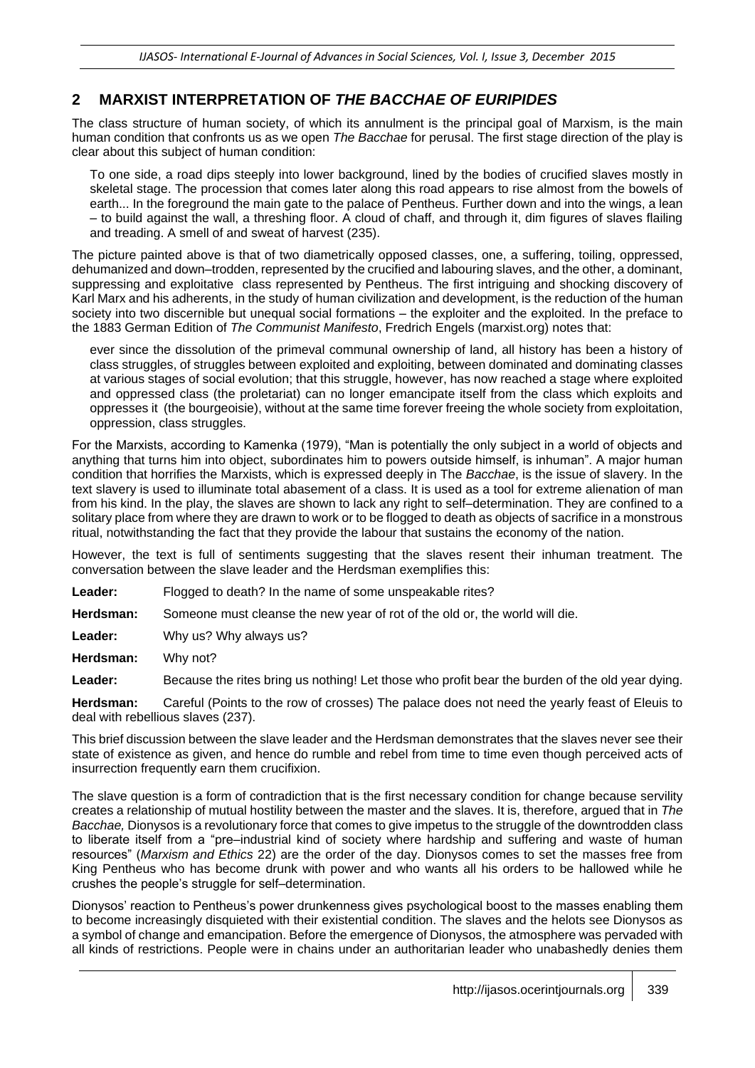## **2 MARXIST INTERPRETATION OF** *THE BACCHAE OF EURIPIDES*

The class structure of human society, of which its annulment is the principal goal of Marxism, is the main human condition that confronts us as we open *The Bacchae* for perusal. The first stage direction of the play is clear about this subject of human condition:

To one side, a road dips steeply into lower background, lined by the bodies of crucified slaves mostly in skeletal stage. The procession that comes later along this road appears to rise almost from the bowels of earth... In the foreground the main gate to the palace of Pentheus. Further down and into the wings, a lean – to build against the wall, a threshing floor. A cloud of chaff, and through it, dim figures of slaves flailing and treading. A smell of and sweat of harvest (235).

The picture painted above is that of two diametrically opposed classes, one, a suffering, toiling, oppressed, dehumanized and down–trodden, represented by the crucified and labouring slaves, and the other, a dominant, suppressing and exploitative class represented by Pentheus. The first intriguing and shocking discovery of Karl Marx and his adherents, in the study of human civilization and development, is the reduction of the human society into two discernible but unequal social formations – the exploiter and the exploited. In the preface to the 1883 German Edition of *The Communist Manifesto*, Fredrich Engels (marxist.org) notes that:

ever since the dissolution of the primeval communal ownership of land, all history has been a history of class struggles, of struggles between exploited and exploiting, between dominated and dominating classes at various stages of social evolution; that this struggle, however, has now reached a stage where exploited and oppressed class (the proletariat) can no longer emancipate itself from the class which exploits and oppresses it (the bourgeoisie), without at the same time forever freeing the whole society from exploitation, oppression, class struggles.

For the Marxists, according to Kamenka (1979), "Man is potentially the only subject in a world of objects and anything that turns him into object, subordinates him to powers outside himself, is inhuman". A major human condition that horrifies the Marxists, which is expressed deeply in The *Bacchae*, is the issue of slavery. In the text slavery is used to illuminate total abasement of a class. It is used as a tool for extreme alienation of man from his kind. In the play, the slaves are shown to lack any right to self–determination. They are confined to a solitary place from where they are drawn to work or to be flogged to death as objects of sacrifice in a monstrous ritual, notwithstanding the fact that they provide the labour that sustains the economy of the nation.

However, the text is full of sentiments suggesting that the slaves resent their inhuman treatment. The conversation between the slave leader and the Herdsman exemplifies this:

Leader: Flogged to death? In the name of some unspeakable rites?

**Herdsman:** Someone must cleanse the new year of rot of the old or, the world will die.

**Leader:** Why us? Why always us?

**Herdsman:** Why not?

**Leader:** Because the rites bring us nothing! Let those who profit bear the burden of the old year dying.

**Herdsman:** Careful (Points to the row of crosses) The palace does not need the yearly feast of Eleuis to deal with rebellious slaves (237).

This brief discussion between the slave leader and the Herdsman demonstrates that the slaves never see their state of existence as given, and hence do rumble and rebel from time to time even though perceived acts of insurrection frequently earn them crucifixion.

The slave question is a form of contradiction that is the first necessary condition for change because servility creates a relationship of mutual hostility between the master and the slaves. It is, therefore, argued that in *The Bacchae,* Dionysos is a revolutionary force that comes to give impetus to the struggle of the downtrodden class to liberate itself from a "pre–industrial kind of society where hardship and suffering and waste of human resources" (*Marxism and Ethics* 22) are the order of the day. Dionysos comes to set the masses free from King Pentheus who has become drunk with power and who wants all his orders to be hallowed while he crushes the people's struggle for self–determination.

Dionysos' reaction to Pentheus's power drunkenness gives psychological boost to the masses enabling them to become increasingly disquieted with their existential condition. The slaves and the helots see Dionysos as a symbol of change and emancipation. Before the emergence of Dionysos, the atmosphere was pervaded with all kinds of restrictions. People were in chains under an authoritarian leader who unabashedly denies them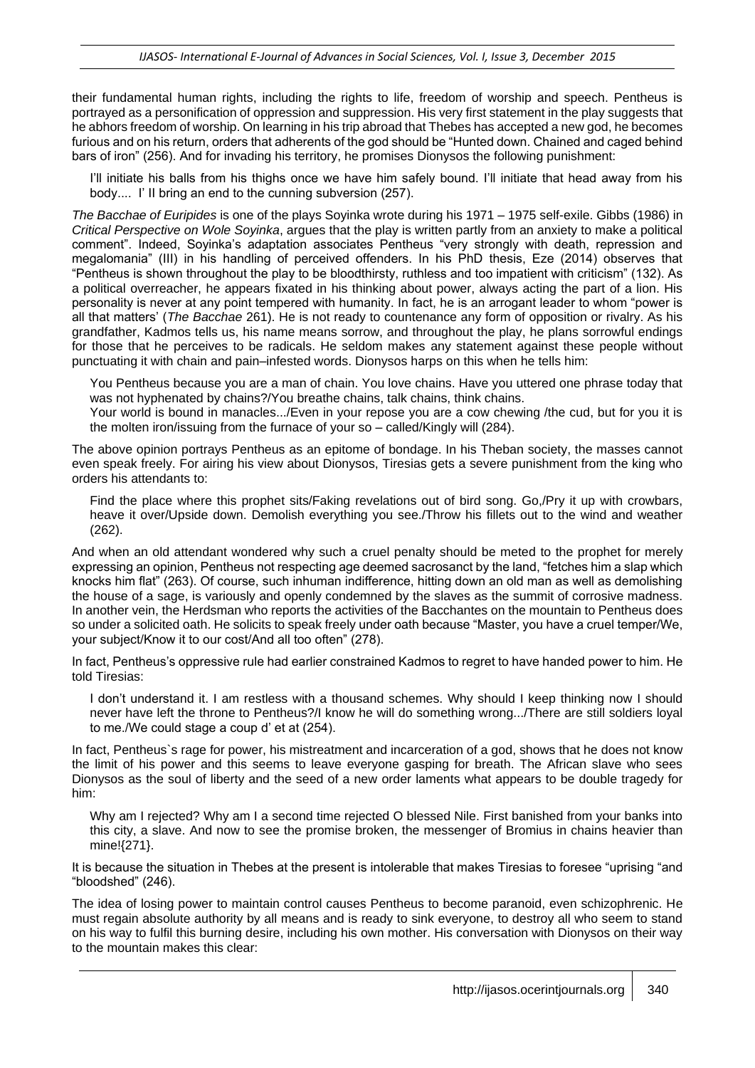their fundamental human rights, including the rights to life, freedom of worship and speech. Pentheus is portrayed as a personification of oppression and suppression. His very first statement in the play suggests that he abhors freedom of worship. On learning in his trip abroad that Thebes has accepted a new god, he becomes furious and on his return, orders that adherents of the god should be "Hunted down. Chained and caged behind bars of iron" (256). And for invading his territory, he promises Dionysos the following punishment:

I'll initiate his balls from his thighs once we have him safely bound. I'll initiate that head away from his body.... I' II bring an end to the cunning subversion (257).

*The Bacchae of Euripides* is one of the plays Soyinka wrote during his 1971 – 1975 self-exile. Gibbs (1986) in *Critical Perspective on Wole Soyinka*, argues that the play is written partly from an anxiety to make a political comment". Indeed, Soyinka's adaptation associates Pentheus "very strongly with death, repression and megalomania" (III) in his handling of perceived offenders. In his PhD thesis, Eze (2014) observes that "Pentheus is shown throughout the play to be bloodthirsty, ruthless and too impatient with criticism" (132). As a political overreacher, he appears fixated in his thinking about power, always acting the part of a lion. His personality is never at any point tempered with humanity. In fact, he is an arrogant leader to whom "power is all that matters' (*The Bacchae* 261). He is not ready to countenance any form of opposition or rivalry. As his grandfather, Kadmos tells us, his name means sorrow, and throughout the play, he plans sorrowful endings for those that he perceives to be radicals. He seldom makes any statement against these people without punctuating it with chain and pain–infested words. Dionysos harps on this when he tells him:

You Pentheus because you are a man of chain. You love chains. Have you uttered one phrase today that was not hyphenated by chains?/You breathe chains, talk chains, think chains.

Your world is bound in manacles.../Even in your repose you are a cow chewing /the cud, but for you it is the molten iron/issuing from the furnace of your so – called/Kingly will (284).

The above opinion portrays Pentheus as an epitome of bondage. In his Theban society, the masses cannot even speak freely. For airing his view about Dionysos, Tiresias gets a severe punishment from the king who orders his attendants to:

Find the place where this prophet sits/Faking revelations out of bird song. Go,/Pry it up with crowbars, heave it over/Upside down. Demolish everything you see./Throw his fillets out to the wind and weather (262).

And when an old attendant wondered why such a cruel penalty should be meted to the prophet for merely expressing an opinion, Pentheus not respecting age deemed sacrosanct by the land, "fetches him a slap which knocks him flat" (263). Of course, such inhuman indifference, hitting down an old man as well as demolishing the house of a sage, is variously and openly condemned by the slaves as the summit of corrosive madness. In another vein, the Herdsman who reports the activities of the Bacchantes on the mountain to Pentheus does so under a solicited oath. He solicits to speak freely under oath because "Master, you have a cruel temper/We, your subject/Know it to our cost/And all too often" (278).

In fact, Pentheus's oppressive rule had earlier constrained Kadmos to regret to have handed power to him. He told Tiresias:

I don't understand it. I am restless with a thousand schemes. Why should I keep thinking now I should never have left the throne to Pentheus?/I know he will do something wrong.../There are still soldiers loyal to me./We could stage a coup d' et at (254).

In fact, Pentheus`s rage for power, his mistreatment and incarceration of a god, shows that he does not know the limit of his power and this seems to leave everyone gasping for breath. The African slave who sees Dionysos as the soul of liberty and the seed of a new order laments what appears to be double tragedy for him:

Why am I rejected? Why am I a second time rejected O blessed Nile. First banished from your banks into this city, a slave. And now to see the promise broken, the messenger of Bromius in chains heavier than mine!{271}.

It is because the situation in Thebes at the present is intolerable that makes Tiresias to foresee "uprising "and "bloodshed" (246).

The idea of losing power to maintain control causes Pentheus to become paranoid, even schizophrenic. He must regain absolute authority by all means and is ready to sink everyone, to destroy all who seem to stand on his way to fulfil this burning desire, including his own mother. His conversation with Dionysos on their way to the mountain makes this clear: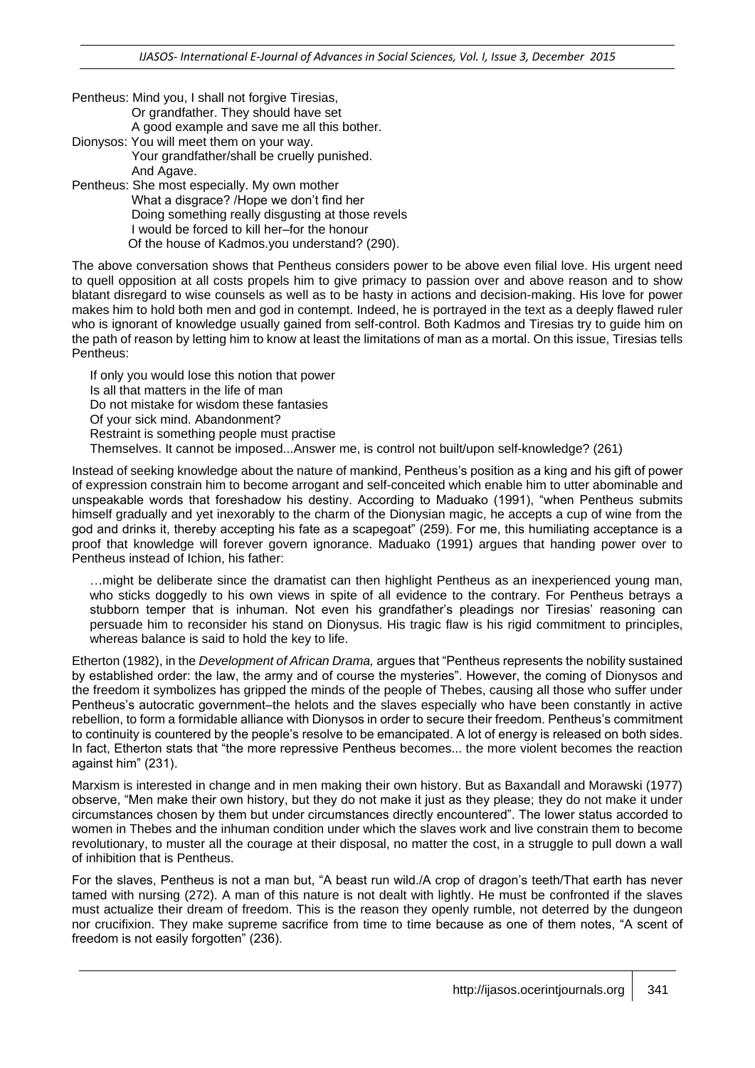- Pentheus: Mind you, I shall not forgive Tiresias, Or grandfather. They should have set A good example and save me all this bother. Dionysos: You will meet them on your way. Your grandfather/shall be cruelly punished.
- And Agave. Pentheus: She most especially. My own mother What a disgrace? /Hope we don't find her Doing something really disgusting at those revels I would be forced to kill her–for the honour Of the house of Kadmos.you understand? (290).

The above conversation shows that Pentheus considers power to be above even filial love. His urgent need to quell opposition at all costs propels him to give primacy to passion over and above reason and to show blatant disregard to wise counsels as well as to be hasty in actions and decision-making. His love for power makes him to hold both men and god in contempt. Indeed, he is portrayed in the text as a deeply flawed ruler who is ignorant of knowledge usually gained from self-control. Both Kadmos and Tiresias try to guide him on the path of reason by letting him to know at least the limitations of man as a mortal. On this issue, Tiresias tells Pentheus:

If only you would lose this notion that power Is all that matters in the life of man Do not mistake for wisdom these fantasies Of your sick mind. Abandonment? Restraint is something people must practise Themselves. It cannot be imposed...Answer me, is control not built/upon self-knowledge? (261)

Instead of seeking knowledge about the nature of mankind, Pentheus's position as a king and his gift of power of expression constrain him to become arrogant and self-conceited which enable him to utter abominable and unspeakable words that foreshadow his destiny. According to Maduako (1991), "when Pentheus submits himself gradually and yet inexorably to the charm of the Dionysian magic, he accepts a cup of wine from the god and drinks it, thereby accepting his fate as a scapegoat" (259). For me, this humiliating acceptance is a proof that knowledge will forever govern ignorance. Maduako (1991) argues that handing power over to Pentheus instead of Ichion, his father:

…might be deliberate since the dramatist can then highlight Pentheus as an inexperienced young man, who sticks doggedly to his own views in spite of all evidence to the contrary. For Pentheus betrays a stubborn temper that is inhuman. Not even his grandfather's pleadings nor Tiresias' reasoning can persuade him to reconsider his stand on Dionysus. His tragic flaw is his rigid commitment to principles, whereas balance is said to hold the key to life.

Etherton (1982), in the *Development of African Drama,* argues that "Pentheus represents the nobility sustained by established order: the law, the army and of course the mysteries". However, the coming of Dionysos and the freedom it symbolizes has gripped the minds of the people of Thebes, causing all those who suffer under Pentheus's autocratic government–the helots and the slaves especially who have been constantly in active rebellion, to form a formidable alliance with Dionysos in order to secure their freedom. Pentheus's commitment to continuity is countered by the people's resolve to be emancipated. A lot of energy is released on both sides. In fact, Etherton stats that "the more repressive Pentheus becomes... the more violent becomes the reaction against him" (231).

Marxism is interested in change and in men making their own history. But as Baxandall and Morawski (1977) observe, "Men make their own history, but they do not make it just as they please; they do not make it under circumstances chosen by them but under circumstances directly encountered". The lower status accorded to women in Thebes and the inhuman condition under which the slaves work and live constrain them to become revolutionary, to muster all the courage at their disposal, no matter the cost, in a struggle to pull down a wall of inhibition that is Pentheus.

For the slaves, Pentheus is not a man but, "A beast run wild./A crop of dragon's teeth/That earth has never tamed with nursing (272). A man of this nature is not dealt with lightly. He must be confronted if the slaves must actualize their dream of freedom. This is the reason they openly rumble, not deterred by the dungeon nor crucifixion. They make supreme sacrifice from time to time because as one of them notes, "A scent of freedom is not easily forgotten" (236).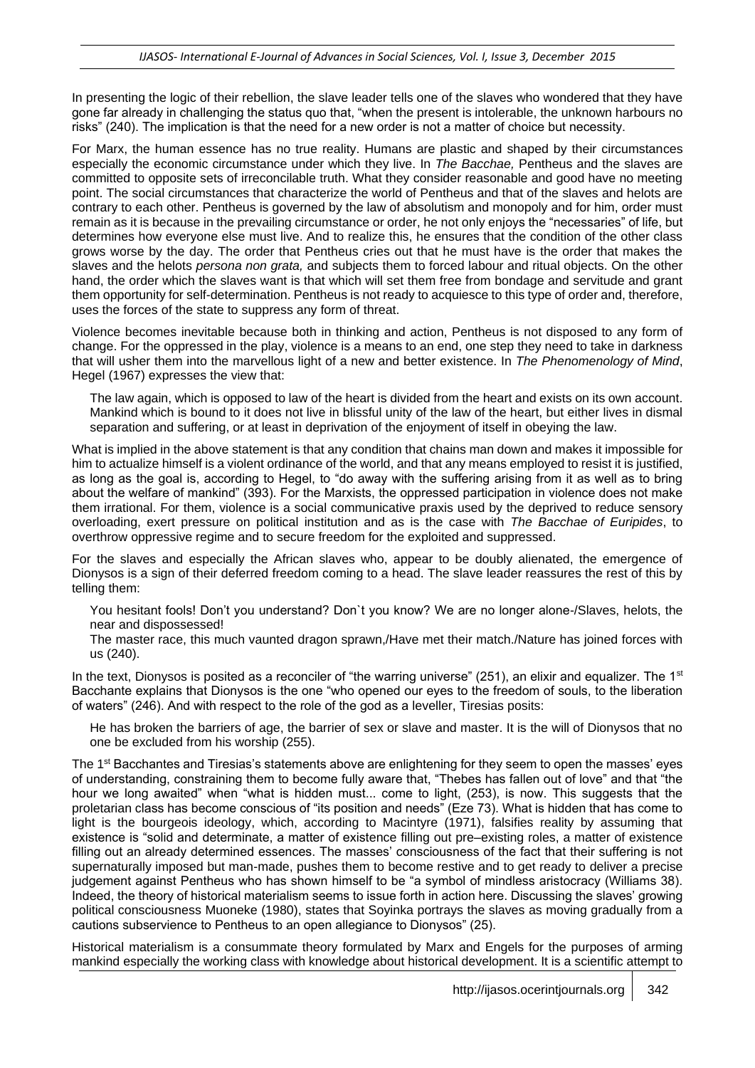In presenting the logic of their rebellion, the slave leader tells one of the slaves who wondered that they have gone far already in challenging the status quo that, "when the present is intolerable, the unknown harbours no risks" (240). The implication is that the need for a new order is not a matter of choice but necessity.

For Marx, the human essence has no true reality. Humans are plastic and shaped by their circumstances especially the economic circumstance under which they live. In *The Bacchae,* Pentheus and the slaves are committed to opposite sets of irreconcilable truth. What they consider reasonable and good have no meeting point. The social circumstances that characterize the world of Pentheus and that of the slaves and helots are contrary to each other. Pentheus is governed by the law of absolutism and monopoly and for him, order must remain as it is because in the prevailing circumstance or order, he not only enjoys the "necessaries" of life, but determines how everyone else must live. And to realize this, he ensures that the condition of the other class grows worse by the day. The order that Pentheus cries out that he must have is the order that makes the slaves and the helots *persona non grata,* and subjects them to forced labour and ritual objects. On the other hand, the order which the slaves want is that which will set them free from bondage and servitude and grant them opportunity for self-determination. Pentheus is not ready to acquiesce to this type of order and, therefore, uses the forces of the state to suppress any form of threat.

Violence becomes inevitable because both in thinking and action, Pentheus is not disposed to any form of change. For the oppressed in the play, violence is a means to an end, one step they need to take in darkness that will usher them into the marvellous light of a new and better existence. In *The Phenomenology of Mind*, Hegel (1967) expresses the view that:

The law again, which is opposed to law of the heart is divided from the heart and exists on its own account. Mankind which is bound to it does not live in blissful unity of the law of the heart, but either lives in dismal separation and suffering, or at least in deprivation of the enjoyment of itself in obeying the law.

What is implied in the above statement is that any condition that chains man down and makes it impossible for him to actualize himself is a violent ordinance of the world, and that any means employed to resist it is justified, as long as the goal is, according to Hegel, to "do away with the suffering arising from it as well as to bring about the welfare of mankind" (393). For the Marxists, the oppressed participation in violence does not make them irrational. For them, violence is a social communicative praxis used by the deprived to reduce sensory overloading, exert pressure on political institution and as is the case with *The Bacchae of Euripides*, to overthrow oppressive regime and to secure freedom for the exploited and suppressed.

For the slaves and especially the African slaves who, appear to be doubly alienated, the emergence of Dionysos is a sign of their deferred freedom coming to a head. The slave leader reassures the rest of this by telling them:

You hesitant fools! Don't you understand? Don`t you know? We are no longer alone-/Slaves, helots, the near and dispossessed!

The master race, this much vaunted dragon sprawn,/Have met their match./Nature has joined forces with us (240).

In the text. Dionysos is posited as a reconciler of "the warring universe" (251), an elixir and equalizer. The 1<sup>st</sup> Bacchante explains that Dionysos is the one "who opened our eyes to the freedom of souls, to the liberation of waters" (246). And with respect to the role of the god as a leveller, Tiresias posits:

He has broken the barriers of age, the barrier of sex or slave and master. It is the will of Dionysos that no one be excluded from his worship (255).

The 1<sup>st</sup> Bacchantes and Tiresias's statements above are enlightening for they seem to open the masses' eyes of understanding, constraining them to become fully aware that, "Thebes has fallen out of love" and that "the hour we long awaited" when "what is hidden must... come to light, (253), is now. This suggests that the proletarian class has become conscious of "its position and needs" (Eze 73). What is hidden that has come to light is the bourgeois ideology, which, according to Macintyre (1971), falsifies reality by assuming that existence is "solid and determinate, a matter of existence filling out pre–existing roles, a matter of existence filling out an already determined essences. The masses' consciousness of the fact that their suffering is not supernaturally imposed but man-made, pushes them to become restive and to get ready to deliver a precise judgement against Pentheus who has shown himself to be "a symbol of mindless aristocracy (Williams 38). Indeed, the theory of historical materialism seems to issue forth in action here. Discussing the slaves' growing political consciousness Muoneke (1980), states that Soyinka portrays the slaves as moving gradually from a cautions subservience to Pentheus to an open allegiance to Dionysos" (25).

Historical materialism is a consummate theory formulated by Marx and Engels for the purposes of arming mankind especially the working class with knowledge about historical development. It is a scientific attempt to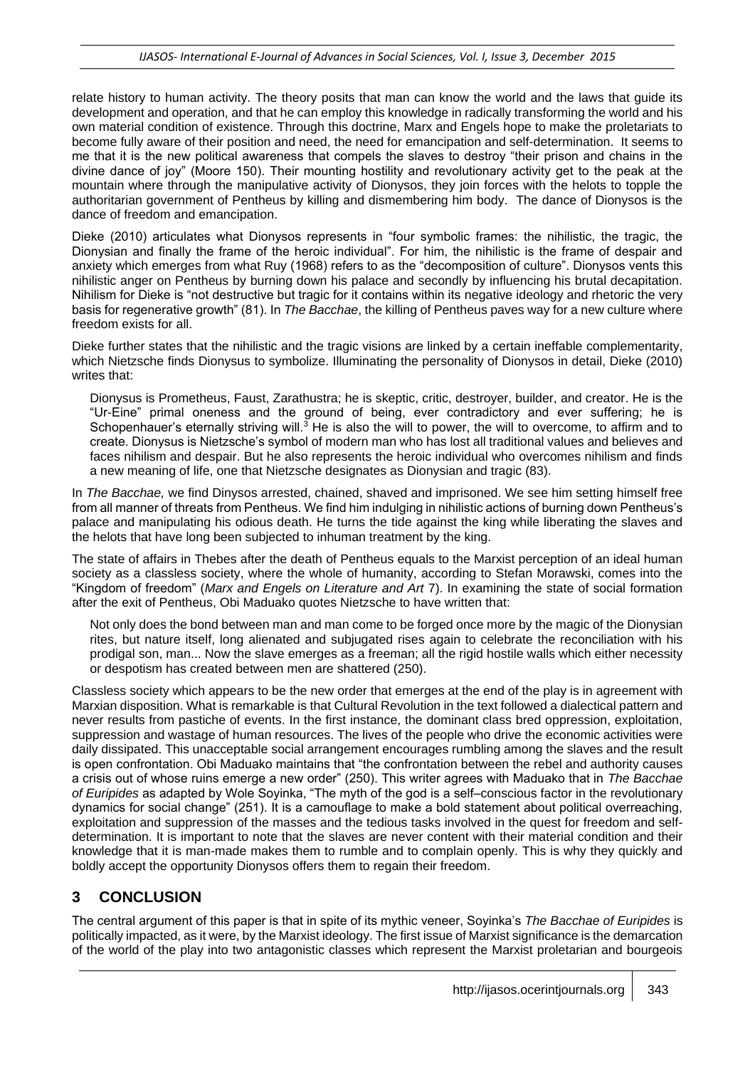relate history to human activity. The theory posits that man can know the world and the laws that guide its development and operation, and that he can employ this knowledge in radically transforming the world and his own material condition of existence. Through this doctrine, Marx and Engels hope to make the proletariats to become fully aware of their position and need, the need for emancipation and self-determination. It seems to me that it is the new political awareness that compels the slaves to destroy "their prison and chains in the divine dance of joy" (Moore 150). Their mounting hostility and revolutionary activity get to the peak at the mountain where through the manipulative activity of Dionysos, they join forces with the helots to topple the authoritarian government of Pentheus by killing and dismembering him body. The dance of Dionysos is the dance of freedom and emancipation.

Dieke (2010) articulates what Dionysos represents in "four symbolic frames: the nihilistic, the tragic, the Dionysian and finally the frame of the heroic individual". For him, the nihilistic is the frame of despair and anxiety which emerges from what Ruy (1968) refers to as the "decomposition of culture". Dionysos vents this nihilistic anger on Pentheus by burning down his palace and secondly by influencing his brutal decapitation. Nihilism for Dieke is "not destructive but tragic for it contains within its negative ideology and rhetoric the very basis for regenerative growth" (81). In *The Bacchae*, the killing of Pentheus paves way for a new culture where freedom exists for all.

Dieke further states that the nihilistic and the tragic visions are linked by a certain ineffable complementarity, which Nietzsche finds Dionysus to symbolize. Illuminating the personality of Dionysos in detail, Dieke (2010) writes that:

Dionysus is Prometheus, Faust, Zarathustra; he is skeptic, critic, destroyer, builder, and creator. He is the "Ur-Eine" primal oneness and the ground of being, ever contradictory and ever suffering; he is Schopenhauer's eternally striving will.<sup>3</sup> He is also the will to power, the will to overcome, to affirm and to create. Dionysus is Nietzsche's symbol of modern man who has lost all traditional values and believes and faces nihilism and despair. But he also represents the heroic individual who overcomes nihilism and finds a new meaning of life, one that Nietzsche designates as Dionysian and tragic (83).

In *The Bacchae,* we find Dinysos arrested, chained, shaved and imprisoned. We see him setting himself free from all manner of threats from Pentheus. We find him indulging in nihilistic actions of burning down Pentheus's palace and manipulating his odious death. He turns the tide against the king while liberating the slaves and the helots that have long been subjected to inhuman treatment by the king.

The state of affairs in Thebes after the death of Pentheus equals to the Marxist perception of an ideal human society as a classless society, where the whole of humanity, according to Stefan Morawski, comes into the "Kingdom of freedom" (*Marx and Engels on Literature and Art* 7). In examining the state of social formation after the exit of Pentheus, Obi Maduako quotes Nietzsche to have written that:

Not only does the bond between man and man come to be forged once more by the magic of the Dionysian rites, but nature itself, long alienated and subjugated rises again to celebrate the reconciliation with his prodigal son, man... Now the slave emerges as a freeman; all the rigid hostile walls which either necessity or despotism has created between men are shattered (250).

Classless society which appears to be the new order that emerges at the end of the play is in agreement with Marxian disposition. What is remarkable is that Cultural Revolution in the text followed a dialectical pattern and never results from pastiche of events. In the first instance, the dominant class bred oppression, exploitation, suppression and wastage of human resources. The lives of the people who drive the economic activities were daily dissipated. This unacceptable social arrangement encourages rumbling among the slaves and the result is open confrontation. Obi Maduako maintains that "the confrontation between the rebel and authority causes a crisis out of whose ruins emerge a new order" (250). This writer agrees with Maduako that in *The Bacchae of Euripides* as adapted by Wole Soyinka, "The myth of the god is a self–conscious factor in the revolutionary dynamics for social change" (251). It is a camouflage to make a bold statement about political overreaching, exploitation and suppression of the masses and the tedious tasks involved in the quest for freedom and selfdetermination. It is important to note that the slaves are never content with their material condition and their knowledge that it is man-made makes them to rumble and to complain openly. This is why they quickly and boldly accept the opportunity Dionysos offers them to regain their freedom.

## **3 CONCLUSION**

The central argument of this paper is that in spite of its mythic veneer, Soyinka's *The Bacchae of Euripides* is politically impacted, as it were, by the Marxist ideology. The first issue of Marxist significance is the demarcation of the world of the play into two antagonistic classes which represent the Marxist proletarian and bourgeois